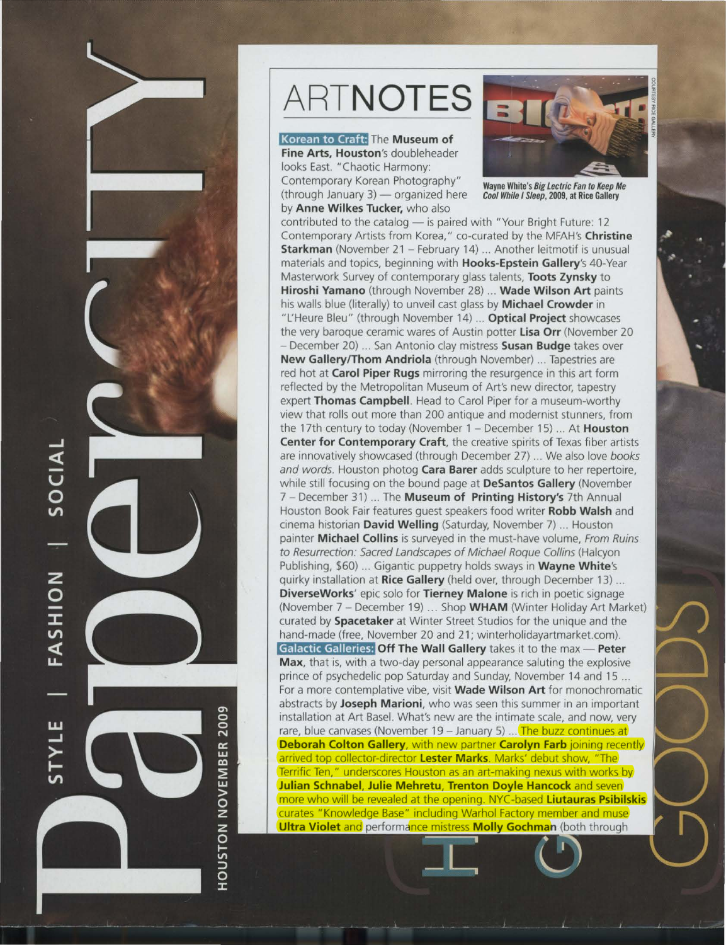

# **HOUSTON NOVEMBER 2009**

# **ARTNOTES**

### **Korean to Craft:** The **Museum of**

**Fine Arts, Houston's** doubleheader looks East. "Chaotic Harmony: Contemporary Korean Photography" (through January  $3$ ) - organized here by **Anne Wilkes Tucker,** who also



Wayne White's Big Lectric Fan to Keep Me Cool While I Sleep, 2009, at Rice Gallery

contributed to the catalog - is paired with "Your Bright Future: 12 Contemporary Artists from Korea," co-curated by the MFAH's **Christine Starkman** (November 21 - February 14) ... Another leitmotif is unusual materials and topics, beginning with **Hooks-Epstein Gallery's** 40-Year Masterwork Survey of contemporary glass talents, **Toots Zynsky** to **Hiroshi Yamano** (through November 28) ... **Wade Wilson Art** paints his walls blue (literally) to unveil cast glass by **Michael Crowder** in "L'Heure Bleu" (through November 14) ... **Optical Project** showcases the very baroque ceramic wares of Austin potter **lisa Orr** (November 20 - December 20) ... San Antonio clay mistress **Susan Budge** takes over **New Gallery/Thom Andriola** (through November) ... Tapestries are red hot at **Carol Piper Rugs** mirroring the resurgence in this art form reflected by the Metropolitan Museum of Art's new director, tapestry expert **Thomas Campbell.** Head to Carol Piper for a museum-worthy view that rolls out more than 200 antique and modernist stunners, from the 17th century to today (November 1 - December 15) ... At **Houston Center for Contemporary Craft,** the creative spirits of Texas fiber artists are innovatively showcased (through December 27) ... We also love books and words. Houston photog **Cara Barer** adds sculpture to her repertoire, while still focusing on the bound page at **DeSantos Gallery** (November 7 - December 31) ... The **Museum of Printing History's** 7th Annual Houston Book Fair features guest speakers food writer **Robb Walsh** and cinema historian **David Welling** (Saturday, November 7) ... Houston painter **Michael Collins** is surveyed in the must-have volume, From Ruins to Resurrection: Sacred Landscapes of Michael Roque Collins (Halcyon Publishing, \$60) ... Gigantic puppetry holds sways in **Wayne White's**  quirky installation at **Rice Gallery** (held over, through December 13) ... **DiverseWorks'** epic solo for **Tierney Malone** is rich in poetic signage (November 7 - December 19) ... Shop **WHAM** (Winter Holiday Art Market) curated by **Spacetaker** at Winter Street Studios for the unique and the hand-made (free, November 20 and 21; winterholidayartmarket.com). **Galactic Galleries: Off The Wall Gallery** takes it to the max - Peter **Max,** that is, with a two-day personal appearance saluting the explosive prince of psychedelic pop Saturday and Sunday, November 14 and 15 ... For a more contemplative vibe, visit **Wade Wilson Art** for monochromatic abstracts by **Joseph Marioni,** who was seen this summer in an important installation at Art Basel. What's new are the intimate scale, and now, very rare, blue canvases (November 19 - January 5) ... The buzz continues at **Deborah Colton Gallery**, with new partner **Carolyn Farb** joining recently arrived top collector-director **l ester Marks.** Marks' debut show, "The Terrific Ten," underscores Houston as an art-making nexus with works by **Julian Schnabel, Julie Mehretu, Trenton Doyle Hancock** and seven more who will be revealed at the opening. NYC-based **liutauras Psibilskis**  curates "Knowledge Base" including Warhol Factory member and muse **Ultra Violet and performance mistress Molly Gochman** (both through